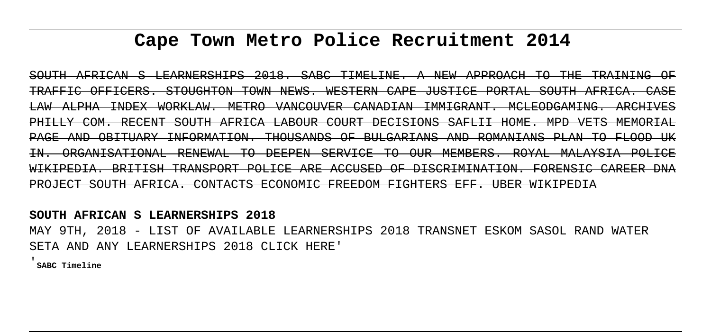# **Cape Town Metro Police Recruitment 2014**

SOUTH AFRICAN S LEARNERSHIPS 2018. SABC TIMELINE. A NEW APPROACH TO THE TRAINING OF TRAFFIC OFFICERS. STOUGHTON TOWN NEWS. WESTERN CAPE JUSTICE PORTAL SOUTH AFRICA. CASE LAW ALPHA INDEX WORKLAW. METRO VANCOUVER CANADIAN IMMIGRANT. MCLEODGAMING. ARCHIVES PHILLY COM. RECENT SOUTH AFRICA LABOUR COURT DECISIONS SAFLII HOME. MPD VETS MEMORIAL PAGE AND OBITUARY INFORMATION. THOUSANDS OF BULGARIANS AND ROMANIANS PLAN TO FLOOD UK IN. ORGANISATIONAL RENEWAL TO DEEPEN SERVICE TO OUR MEMBERS. ROYAL MALAYSIA POLICE WIKIPEDIA. BRITISH TRANSPORT POLICE ARE ACCUSED OF DISCRIMINATION. FORENSIC CAREER DNA PROJECT SOUTH AFRICA. CONTACTS ECONOMIC FREEDOM FIGHTERS EFF. UBER WIKIPEDIA

**SOUTH AFRICAN S LEARNERSHIPS 2018**

MAY 9TH, 2018 - LIST OF AVAILABLE LEARNERSHIPS 2018 TRANSNET ESKOM SASOL RAND WATER SETA AND ANY LEARNERSHIPS 2018 CLICK HERE'

'**SABC Timeline**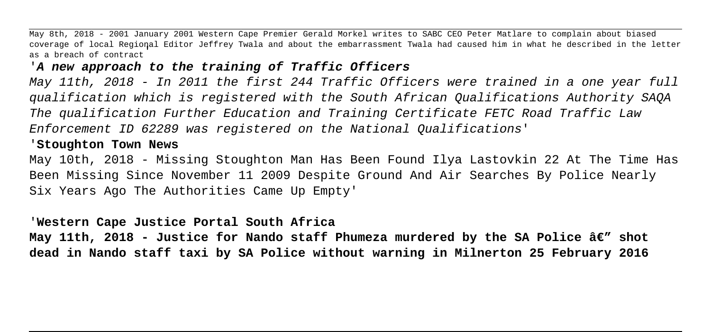May 8th, 2018 - 2001 January 2001 Western Cape Premier Gerald Morkel writes to SABC CEO Peter Matlare to complain about biased coverage of local Regional Editor Jeffrey Twala and about the embarrassment Twala had caused him in what he described in the letter as a breach of contract'

#### '**A new approach to the training of Traffic Officers**

May 11th, 2018 - In 2011 the first 244 Traffic Officers were trained in a one year full qualification which is registered with the South African Qualifications Authority SAQA The qualification Further Education and Training Certificate FETC Road Traffic Law Enforcement ID 62289 was registered on the National Qualifications'

#### '**Stoughton Town News**

May 10th, 2018 - Missing Stoughton Man Has Been Found Ilya Lastovkin 22 At The Time Has Been Missing Since November 11 2009 Despite Ground And Air Searches By Police Nearly Six Years Ago The Authorities Came Up Empty'

#### '**Western Cape Justice Portal South Africa**

May 11th, 2018 - Justice for Nando staff Phumeza murdered by the SA Police â€" shot **dead in Nando staff taxi by SA Police without warning in Milnerton 25 February 2016**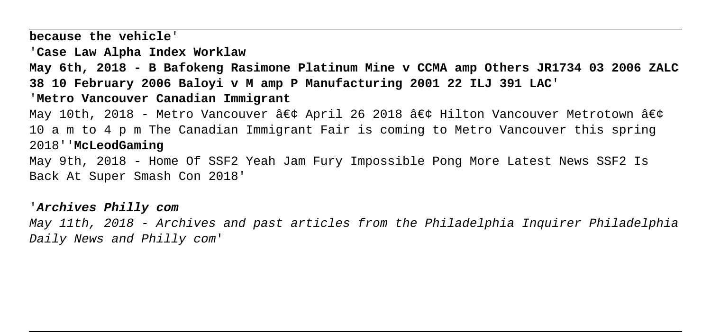**because the vehicle**'

'**Case Law Alpha Index Worklaw**

**May 6th, 2018 - B Bafokeng Rasimone Platinum Mine v CCMA amp Others JR1734 03 2006 ZALC 38 10 February 2006 Baloyi v M amp P Manufacturing 2001 22 ILJ 391 LAC**'

#### '**Metro Vancouver Canadian Immigrant**

May 10th, 2018 - Metro Vancouver • April 26 2018 • Hilton Vancouver Metrotown • 10 a m to 4 p m The Canadian Immigrant Fair is coming to Metro Vancouver this spring 2018''**McLeodGaming**

May 9th, 2018 - Home Of SSF2 Yeah Jam Fury Impossible Pong More Latest News SSF2 Is Back At Super Smash Con 2018'

### '**Archives Philly com**

May 11th, 2018 - Archives and past articles from the Philadelphia Inquirer Philadelphia Daily News and Philly com'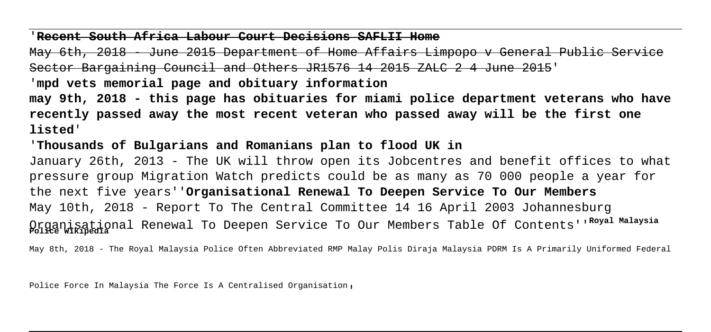'**Recent South Africa Labour Court Decisions SAFLII Home**

May 6th, 2018 - June 2015 Department of Home Affairs Limpopo v General Public Service Sector Bargaining Council and Others JR1576 14 2015 ZALC 2 4 June 2015'

'**mpd vets memorial page and obituary information**

**may 9th, 2018 - this page has obituaries for miami police department veterans who have recently passed away the most recent veteran who passed away will be the first one listed**'

'**Thousands of Bulgarians and Romanians plan to flood UK in**

January 26th, 2013 - The UK will throw open its Jobcentres and benefit offices to what pressure group Migration Watch predicts could be as many as 70 000 people a year for the next five years''**Organisational Renewal To Deepen Service To Our Members** May 10th, 2018 - Report To The Central Committee 14 16 April 2003 Johannesburg Organisational Renewal To Deepen Service To Our Members Table Of Contents''**Royal Malaysia Police Wikipedia**

May 8th, 2018 - The Royal Malaysia Police Often Abbreviated RMP Malay Polis Diraja Malaysia PDRM Is A Primarily Uniformed Federal

Police Force In Malaysia The Force Is A Centralised Organisation,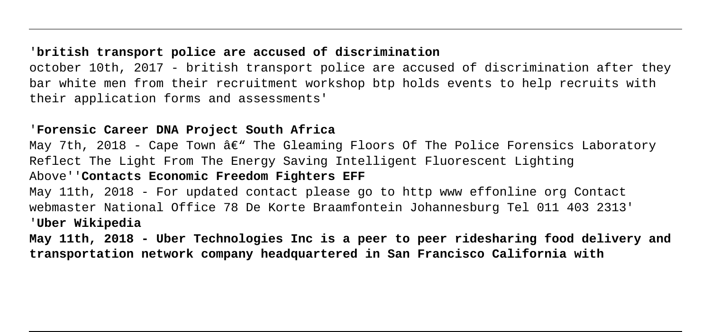# '**british transport police are accused of discrimination**

october 10th, 2017 - british transport police are accused of discrimination after they bar white men from their recruitment workshop btp holds events to help recruits with their application forms and assessments'

## '**Forensic Career DNA Project South Africa**

May 7th, 2018 - Cape Town  $\hat{a} \in \mathbb{C}^n$  The Gleaming Floors Of The Police Forensics Laboratory Reflect The Light From The Energy Saving Intelligent Fluorescent Lighting Above''**Contacts Economic Freedom Fighters EFF** May 11th, 2018 - For updated contact please go to http www effonline org Contact

webmaster National Office 78 De Korte Braamfontein Johannesburg Tel 011 403 2313' '**Uber Wikipedia**

**May 11th, 2018 - Uber Technologies Inc is a peer to peer ridesharing food delivery and transportation network company headquartered in San Francisco California with**